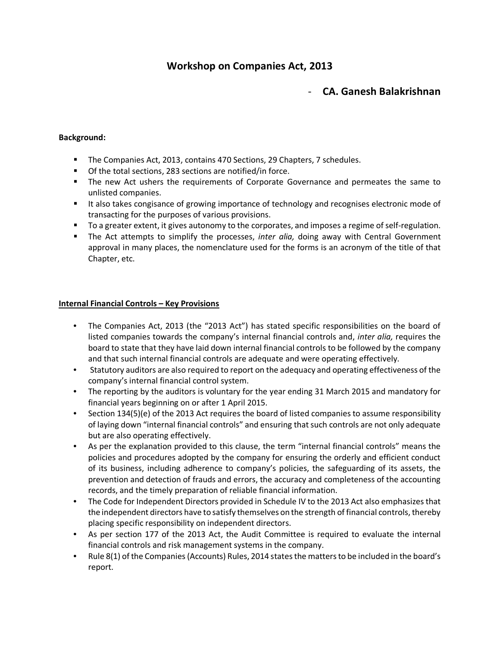# Workshop on Companies Act, 2013

# - CA. Ganesh Balakrishnan

# Background:

- The Companies Act, 2013, contains 470 Sections, 29 Chapters, 7 schedules.
- Of the total sections, 283 sections are notified/in force.
- **The new Act ushers the requirements of Corporate Governance and permeates the same to** unlisted companies.
- It also takes congisance of growing importance of technology and recognises electronic mode of transacting for the purposes of various provisions.
- To a greater extent, it gives autonomy to the corporates, and imposes a regime of self-regulation.
- The Act attempts to simplify the processes, *inter alia*, doing away with Central Government approval in many places, the nomenclature used for the forms is an acronym of the title of that Chapter, etc.

# Internal Financial Controls – Key Provisions

- The Companies Act, 2013 (the "2013 Act") has stated specific responsibilities on the board of listed companies towards the company's internal financial controls and, inter alia, requires the board to state that they have laid down internal financial controls to be followed by the company and that such internal financial controls are adequate and were operating effectively.
- Statutory auditors are also required to report on the adequacy and operating effectiveness of the company's internal financial control system.
- The reporting by the auditors is voluntary for the year ending 31 March 2015 and mandatory for financial years beginning on or after 1 April 2015.
- Section 134(5)(e) of the 2013 Act requires the board of listed companies to assume responsibility of laying down "internal financial controls" and ensuring that such controls are not only adequate but are also operating effectively.
- As per the explanation provided to this clause, the term "internal financial controls" means the policies and procedures adopted by the company for ensuring the orderly and efficient conduct of its business, including adherence to company's policies, the safeguarding of its assets, the prevention and detection of frauds and errors, the accuracy and completeness of the accounting records, and the timely preparation of reliable financial information.
- The Code for Independent Directors provided in Schedule IV to the 2013 Act also emphasizes that the independent directors have to satisfy themselves on the strength of financial controls, thereby placing specific responsibility on independent directors.
- As per section 177 of the 2013 Act, the Audit Committee is required to evaluate the internal financial controls and risk management systems in the company.
- Rule 8(1) of the Companies (Accounts) Rules, 2014 states the matters to be included in the board's report.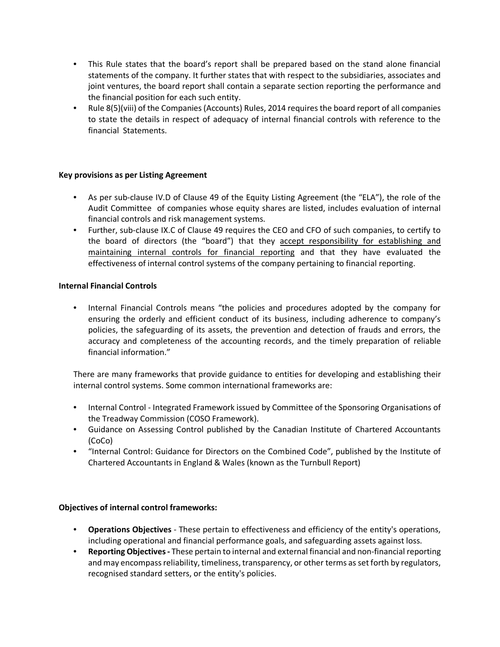- This Rule states that the board's report shall be prepared based on the stand alone financial statements of the company. It further states that with respect to the subsidiaries, associates and joint ventures, the board report shall contain a separate section reporting the performance and the financial position for each such entity.
- Rule 8(5)(viii) of the Companies (Accounts) Rules, 2014 requires the board report of all companies to state the details in respect of adequacy of internal financial controls with reference to the financial Statements.

# Key provisions as per Listing Agreement

- As per sub-clause IV.D of Clause 49 of the Equity Listing Agreement (the "ELA"), the role of the Audit Committee of companies whose equity shares are listed, includes evaluation of internal financial controls and risk management systems.
- Further, sub-clause IX.C of Clause 49 requires the CEO and CFO of such companies, to certify to the board of directors (the "board") that they accept responsibility for establishing and maintaining internal controls for financial reporting and that they have evaluated the effectiveness of internal control systems of the company pertaining to financial reporting.

# Internal Financial Controls

• Internal Financial Controls means "the policies and procedures adopted by the company for ensuring the orderly and efficient conduct of its business, including adherence to company's policies, the safeguarding of its assets, the prevention and detection of frauds and errors, the accuracy and completeness of the accounting records, and the timely preparation of reliable financial information."

There are many frameworks that provide guidance to entities for developing and establishing their internal control systems. Some common international frameworks are:

- Internal Control Integrated Framework issued by Committee of the Sponsoring Organisations of the Treadway Commission (COSO Framework).
- Guidance on Assessing Control published by the Canadian Institute of Chartered Accountants (CoCo)
- "Internal Control: Guidance for Directors on the Combined Code", published by the Institute of Chartered Accountants in England & Wales (known as the Turnbull Report)

# Objectives of internal control frameworks:

- Operations Objectives These pertain to effectiveness and efficiency of the entity's operations, including operational and financial performance goals, and safeguarding assets against loss.
- Reporting Objectives These pertain to internal and external financial and non-financial reporting and may encompass reliability, timeliness, transparency, or other terms as set forth by regulators, recognised standard setters, or the entity's policies.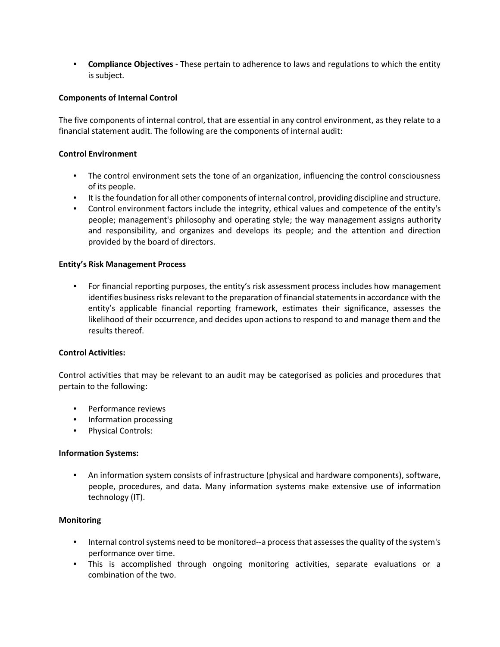• Compliance Objectives - These pertain to adherence to laws and regulations to which the entity is subject.

# Components of Internal Control

The five components of internal control, that are essential in any control environment, as they relate to a financial statement audit. The following are the components of internal audit:

### Control Environment

- The control environment sets the tone of an organization, influencing the control consciousness of its people.
- It is the foundation for all other components of internal control, providing discipline and structure.
- Control environment factors include the integrity, ethical values and competence of the entity's people; management's philosophy and operating style; the way management assigns authority and responsibility, and organizes and develops its people; and the attention and direction provided by the board of directors.

#### Entity's Risk Management Process

• For financial reporting purposes, the entity's risk assessment process includes how management identifies business risks relevant to the preparation of financial statements in accordance with the entity's applicable financial reporting framework, estimates their significance, assesses the likelihood of their occurrence, and decides upon actions to respond to and manage them and the results thereof.

# Control Activities:

Control activities that may be relevant to an audit may be categorised as policies and procedures that pertain to the following:

- Performance reviews
- Information processing
- Physical Controls:

#### Information Systems:

• An information system consists of infrastructure (physical and hardware components), software, people, procedures, and data. Many information systems make extensive use of information technology (IT).

# Monitoring

- Internal control systems need to be monitored--a process that assesses the quality of the system's performance over time.
- This is accomplished through ongoing monitoring activities, separate evaluations or a combination of the two.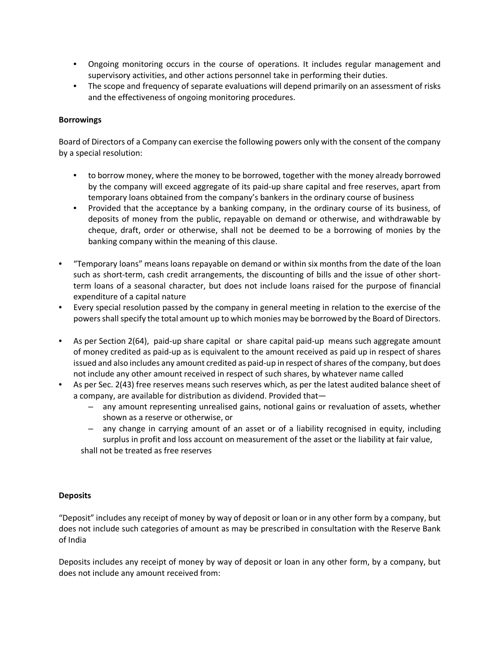- Ongoing monitoring occurs in the course of operations. It includes regular management and supervisory activities, and other actions personnel take in performing their duties.
- The scope and frequency of separate evaluations will depend primarily on an assessment of risks and the effectiveness of ongoing monitoring procedures.

# Borrowings

Board of Directors of a Company can exercise the following powers only with the consent of the company by a special resolution:

- to borrow money, where the money to be borrowed, together with the money already borrowed by the company will exceed aggregate of its paid-up share capital and free reserves, apart from temporary loans obtained from the company's bankers in the ordinary course of business
- Provided that the acceptance by a banking company, in the ordinary course of its business, of deposits of money from the public, repayable on demand or otherwise, and withdrawable by cheque, draft, order or otherwise, shall not be deemed to be a borrowing of monies by the banking company within the meaning of this clause.
- "Temporary loans" means loans repayable on demand or within six months from the date of the loan such as short-term, cash credit arrangements, the discounting of bills and the issue of other shortterm loans of a seasonal character, but does not include loans raised for the purpose of financial expenditure of a capital nature
- Every special resolution passed by the company in general meeting in relation to the exercise of the powers shall specify the total amount up to which monies may be borrowed by the Board of Directors.
- As per Section 2(64), paid-up share capital or share capital paid-up means such aggregate amount of money credited as paid-up as is equivalent to the amount received as paid up in respect of shares issued and also includes any amount credited as paid-up in respect of shares of the company, but does not include any other amount received in respect of such shares, by whatever name called
- As per Sec. 2(43) free reserves means such reserves which, as per the latest audited balance sheet of a company, are available for distribution as dividend. Provided that—
	- any amount representing unrealised gains, notional gains or revaluation of assets, whether shown as a reserve or otherwise, or
	- any change in carrying amount of an asset or of a liability recognised in equity, including surplus in profit and loss account on measurement of the asset or the liability at fair value, shall not be treated as free reserves

# **Deposits**

"Deposit" includes any receipt of money by way of deposit or loan or in any other form by a company, but does not include such categories of amount as may be prescribed in consultation with the Reserve Bank of India

Deposits includes any receipt of money by way of deposit or loan in any other form, by a company, but does not include any amount received from: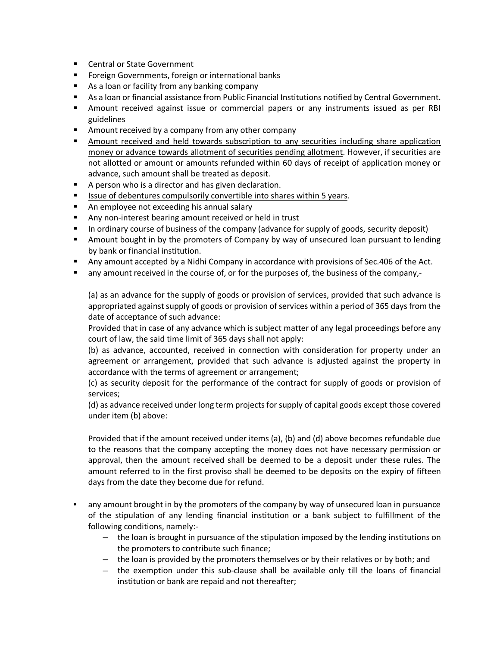- Central or State Government
- **F** Foreign Governments, foreign or international banks
- **As a loan or facility from any banking company**
- As a loan or financial assistance from Public Financial Institutions notified by Central Government.
- Amount received against issue or commercial papers or any instruments issued as per RBI guidelines
- **Amount received by a company from any other company**
- Amount received and held towards subscription to any securities including share application money or advance towards allotment of securities pending allotment. However, if securities are not allotted or amount or amounts refunded within 60 days of receipt of application money or advance, such amount shall be treated as deposit.
- A person who is a director and has given declaration.
- **If Itsue of debentures compulsorily convertible into shares within 5 years.**
- **An employee not exceeding his annual salary**
- Any non-interest bearing amount received or held in trust
- In ordinary course of business of the company (advance for supply of goods, security deposit)
- Amount bought in by the promoters of Company by way of unsecured loan pursuant to lending by bank or financial institution.
- Any amount accepted by a Nidhi Company in accordance with provisions of Sec.406 of the Act.
- **The any amount received in the course of, or for the purposes of, the business of the company,-**

(a) as an advance for the supply of goods or provision of services, provided that such advance is appropriated against supply of goods or provision of services within a period of 365 days from the date of acceptance of such advance:

Provided that in case of any advance which is subject matter of any legal proceedings before any court of law, the said time limit of 365 days shall not apply:

(b) as advance, accounted, received in connection with consideration for property under an agreement or arrangement, provided that such advance is adjusted against the property in accordance with the terms of agreement or arrangement;

(c) as security deposit for the performance of the contract for supply of goods or provision of services;

(d) as advance received under long term projects for supply of capital goods except those covered under item (b) above:

Provided that if the amount received under items (a), (b) and (d) above becomes refundable due to the reasons that the company accepting the money does not have necessary permission or approval, then the amount received shall be deemed to be a deposit under these rules. The amount referred to in the first proviso shall be deemed to be deposits on the expiry of fifteen days from the date they become due for refund.

- any amount brought in by the promoters of the company by way of unsecured loan in pursuance of the stipulation of any lending financial institution or a bank subject to fulfillment of the following conditions, namely:-
	- the loan is brought in pursuance of the stipulation imposed by the lending institutions on the promoters to contribute such finance;
	- the loan is provided by the promoters themselves or by their relatives or by both; and
	- the exemption under this sub-clause shall be available only till the loans of financial institution or bank are repaid and not thereafter;